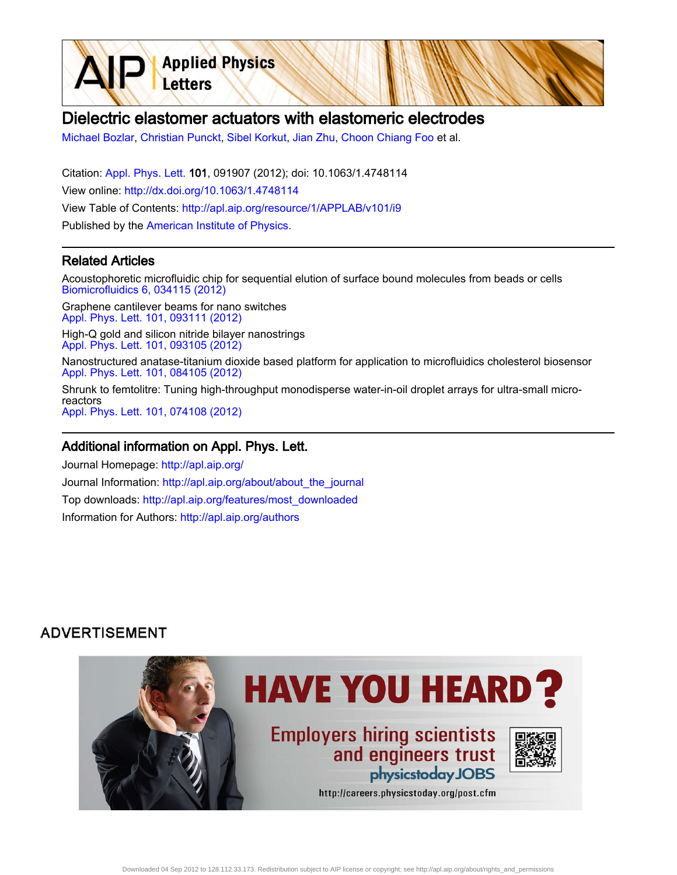Dielectric elastomer actuators with elastomeric electrodes

[Michael Bozlar,](http://apl.aip.org/search?sortby=newestdate&q=&searchzone=2&searchtype=searchin&faceted=faceted&key=AIP_ALL&possible1=Michael Bozlar&possible1zone=author&alias=&displayid=AIP&ver=pdfcov) [Christian Punckt,](http://apl.aip.org/search?sortby=newestdate&q=&searchzone=2&searchtype=searchin&faceted=faceted&key=AIP_ALL&possible1=Christian Punckt&possible1zone=author&alias=&displayid=AIP&ver=pdfcov) [Sibel Korkut](http://apl.aip.org/search?sortby=newestdate&q=&searchzone=2&searchtype=searchin&faceted=faceted&key=AIP_ALL&possible1=Sibel Korkut&possible1zone=author&alias=&displayid=AIP&ver=pdfcov), [Jian Zhu](http://apl.aip.org/search?sortby=newestdate&q=&searchzone=2&searchtype=searchin&faceted=faceted&key=AIP_ALL&possible1=Jian Zhu&possible1zone=author&alias=&displayid=AIP&ver=pdfcov), [Choon Chiang Foo](http://apl.aip.org/search?sortby=newestdate&q=&searchzone=2&searchtype=searchin&faceted=faceted&key=AIP_ALL&possible1=Choon Chiang Foo&possible1zone=author&alias=&displayid=AIP&ver=pdfcov) et al.

Citation: [Appl. Phys. Lett. 1](http://apl.aip.org/?ver=pdfcov)01, 091907 (2012); doi: 10.1063/1.4748114 View online: [http://dx.doi.org/10.1063/1.4748114](http://link.aip.org/link/doi/10.1063/1.4748114?ver=pdfcov) View Table of Contents: [http://apl.aip.org/resource/1/APPLAB/v101/i9](http://apl.aip.org/resource/1/APPLAB/v101/i9?ver=pdfcov) Published by the [American Institute of Physics.](http://www.aip.org/?ver=pdfcov)

**Applied Physics** 

Letters

## Related Articles

Acoustophoretic microfluidic chip for sequential elution of surface bound molecules from beads or cells [Biomicrofluidics 6, 034115 \(2012\)](http://link.aip.org/link/doi/10.1063/1.4749289?ver=pdfcov)

Graphene cantilever beams for nano switches [Appl. Phys. Lett. 101, 093111 \(2012\)](http://link.aip.org/link/doi/10.1063/1.4738891?ver=pdfcov)

High-Q gold and silicon nitride bilayer nanostrings [Appl. Phys. Lett. 101, 093105 \(2012\)](http://link.aip.org/link/doi/10.1063/1.4748977?ver=pdfcov)

Nanostructured anatase-titanium dioxide based platform for application to microfluidics cholesterol biosensor [Appl. Phys. Lett. 101, 084105 \(2012\)](http://link.aip.org/link/doi/10.1063/1.4747714?ver=pdfcov)

Shrunk to femtolitre: Tuning high-throughput monodisperse water-in-oil droplet arrays for ultra-small microreactors [Appl. Phys. Lett. 101, 074108 \(2012\)](http://link.aip.org/link/doi/10.1063/1.4746754?ver=pdfcov)

## Additional information on Appl. Phys. Lett.

Journal Homepage: [http://apl.aip.org/](http://apl.aip.org/?ver=pdfcov) Journal Information: [http://apl.aip.org/about/about\\_the\\_journal](http://apl.aip.org/about/about_the_journal?ver=pdfcov) Top downloads: [http://apl.aip.org/features/most\\_downloaded](http://apl.aip.org/features/most_downloaded?ver=pdfcov) Information for Authors: [http://apl.aip.org/authors](http://apl.aip.org/authors?ver=pdfcov)

## **ADVERTISEMENT**

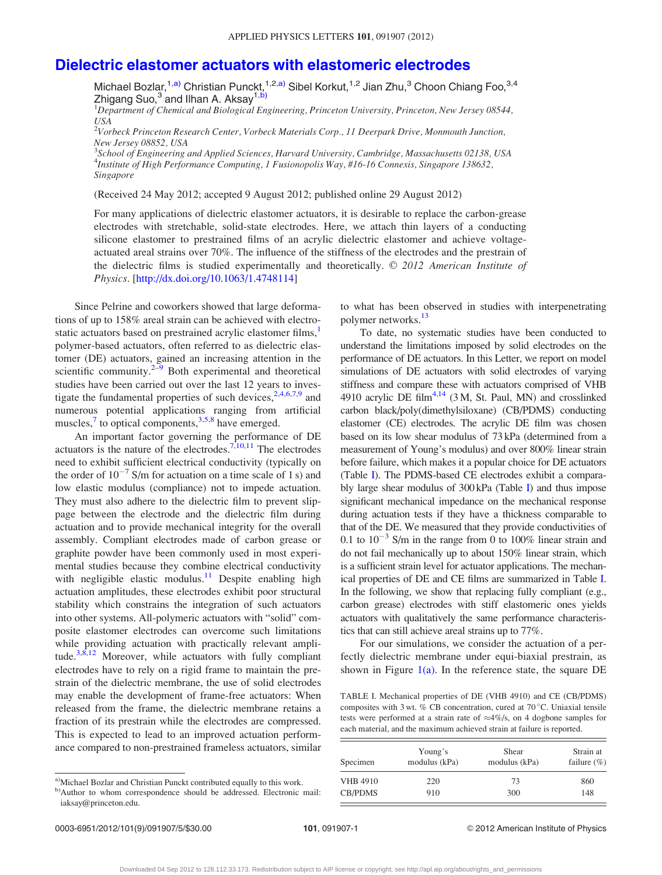## <span id="page-1-0"></span>[Dielectric elastomer actuators with elastomeric electrodes](http://dx.doi.org/10.1063/1.4748114)

Michael Bozlar,<sup>1,a)</sup> Christian Punckt,<sup>1,2,a)</sup> Sibel Korkut,<sup>1,2</sup> Jian Zhu,<sup>3</sup> Choon Chiang Foo,<sup>3,4</sup>  $Z$ higang Suo, $3$  and Ilhan A. Aksay<sup>1,b)</sup>

<sup>1</sup>Department of Chemical and Biological Engineering, Princeton University, Princeton, New Jersey 08544, USA

 $^{2}$ Vorbeck Princeton Research Center, Vorbeck Materials Corp., 11 Deerpark Drive, Monmouth Junction, New Jersey 08852, USA

 $^3$ School of Engineering and Applied Sciences, Harvard University, Cambridge, Massachusetts 02138, USA 4 Institute of High Performance Computing, 1 Fusionopolis Way, #16-16 Connexis, Singapore 138632, Singapore

(Received 24 May 2012; accepted 9 August 2012; published online 29 August 2012)

For many applications of dielectric elastomer actuators, it is desirable to replace the carbon-grease electrodes with stretchable, solid-state electrodes. Here, we attach thin layers of a conducting silicone elastomer to prestrained films of an acrylic dielectric elastomer and achieve voltageactuated areal strains over 70%. The influence of the stiffness of the electrodes and the prestrain of the dielectric films is studied experimentally and theoretically.  $\odot$  2012 American Institute of Physics. [\[http://dx.doi.org/10.1063/1.4748114\]](http://dx.doi.org/10.1063/1.4748114)

Since Pelrine and coworkers showed that large deformations of up to 158% areal strain can be achieved with electro-static actuators based on prestrained acrylic elastomer films,<sup>[1](#page-5-0)</sup> polymer-based actuators, often referred to as dielectric elastomer (DE) actuators, gained an increasing attention in the scientific community. $2^{-9}$  Both experimental and theoretical studies have been carried out over the last 12 years to investigate the fundamental properties of such devices,  $2,4,6,7,9$  and numerous potential applications ranging from artificial muscles, $\frac{7}{10}$  $\frac{7}{10}$  $\frac{7}{10}$  to optical components,  $\frac{3,5,8}{10}$  $\frac{3,5,8}{10}$  $\frac{3,5,8}{10}$  $\frac{3,5,8}{10}$  $\frac{3,5,8}{10}$  have emerged.

An important factor governing the performance of DE actuators is the nature of the electrodes.<sup>[7,10,11](#page-5-0)</sup> The electrodes need to exhibit sufficient electrical conductivity (typically on the order of  $10^{-7}$  S/m for actuation on a time scale of 1 s) and low elastic modulus (compliance) not to impede actuation. They must also adhere to the dielectric film to prevent slippage between the electrode and the dielectric film during actuation and to provide mechanical integrity for the overall assembly. Compliant electrodes made of carbon grease or graphite powder have been commonly used in most experimental studies because they combine electrical conductivity with negligible elastic modulus.<sup>[11](#page-5-0)</sup> Despite enabling high actuation amplitudes, these electrodes exhibit poor structural stability which constrains the integration of such actuators into other systems. All-polymeric actuators with "solid" composite elastomer electrodes can overcome such limitations while providing actuation with practically relevant amplitude. $3,8,12$  Moreover, while actuators with fully compliant electrodes have to rely on a rigid frame to maintain the prestrain of the dielectric membrane, the use of solid electrodes may enable the development of frame-free actuators: When released from the frame, the dielectric membrane retains a fraction of its prestrain while the electrodes are compressed. This is expected to lead to an improved actuation performance compared to non-prestrained frameless actuators, similar to what has been observed in studies with interpenetrating polymer networks.<sup>13</sup>

To date, no systematic studies have been conducted to understand the limitations imposed by solid electrodes on the performance of DE actuators. In this Letter, we report on model simulations of DE actuators with solid electrodes of varying stiffness and compare these with actuators comprised of VHB 4910 acrylic DE film $4,14$  (3 M, St. Paul, MN) and crosslinked carbon black/poly(dimethylsiloxane) (CB/PDMS) conducting elastomer (CE) electrodes. The acrylic DE film was chosen based on its low shear modulus of 73 kPa (determined from a measurement of Young's modulus) and over 800% linear strain before failure, which makes it a popular choice for DE actuators (Table I). The PDMS-based CE electrodes exhibit a comparably large shear modulus of 300 kPa (Table I) and thus impose significant mechanical impedance on the mechanical response during actuation tests if they have a thickness comparable to that of the DE. We measured that they provide conductivities of 0.1 to  $10^{-3}$  S/m in the range from 0 to 100% linear strain and do not fail mechanically up to about 150% linear strain, which is a sufficient strain level for actuator applications. The mechanical properties of DE and CE films are summarized in Table I. In the following, we show that replacing fully compliant (e.g., carbon grease) electrodes with stiff elastomeric ones yields actuators with qualitatively the same performance characteristics that can still achieve areal strains up to 77%.

For our simulations, we consider the actuation of a perfectly dielectric membrane under equi-biaxial prestrain, as shown in Figure  $1(a)$ . In the reference state, the square DE

TABLE I. Mechanical properties of DE (VHB 4910) and CE (CB/PDMS) composites with 3 wt. % CB concentration, cured at 70 °C. Uniaxial tensile tests were performed at a strain rate of  $\approx$ 4%/s, on 4 dogbone samples for each material, and the maximum achieved strain at failure is reported.

| Specimen                                 | Young's       | Shear         | Strain at       |
|------------------------------------------|---------------|---------------|-----------------|
|                                          | modulus (kPa) | modulus (kPa) | failure $(\% )$ |
| <b>VHB 4910</b><br>220<br>CB/PDMS<br>910 |               | 73<br>300     | 860<br>148      |

a)Michael Bozlar and Christian Punckt contributed equally to this work.

0003-6951/2012/101(9)/091907/5/\$30.00 101, 091907-1 © 2012 American Institute of Physics

b)Author to whom correspondence should be addressed. Electronic mail: iaksay@princeton.edu.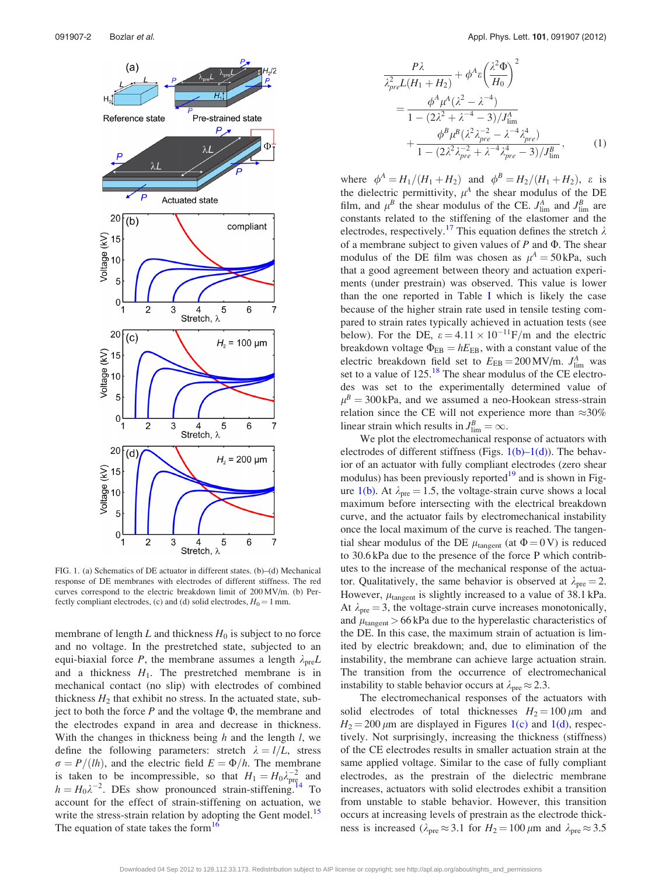<span id="page-2-0"></span>

FIG. 1. (a) Schematics of DE actuator in different states. (b)–(d) Mechanical response of DE membranes with electrodes of different stiffness. The red curves correspond to the electric breakdown limit of 200 MV/m. (b) Perfectly compliant electrodes, (c) and (d) solid electrodes,  $H_0 = 1$  mm.

membrane of length  $L$  and thickness  $H_0$  is subject to no force and no voltage. In the prestretched state, subjected to an equi-biaxial force P, the membrane assumes a length  $\lambda_{pre}L$ and a thickness  $H_1$ . The prestretched membrane is in mechanical contact (no slip) with electrodes of combined thickness  $H_2$  that exhibit no stress. In the actuated state, subject to both the force  $P$  and the voltage  $\Phi$ , the membrane and the electrodes expand in area and decrease in thickness. With the changes in thickness being  $h$  and the length  $l$ , we define the following parameters: stretch  $\lambda = l/L$ , stress  $\sigma = P/(lh)$ , and the electric field  $E = \Phi/h$ . The membrane is taken to be incompressible, so that  $H_1 = H_0 \lambda_{\text{pre}}^{-2}$  and  $h = H_0 \lambda^{-2}$ . DEs show pronounced strain-stiffening.<sup>[14](#page-5-0)</sup> To account for the effect of strain-stiffening on actuation, we write the stress-strain relation by adopting the Gent model.<sup>[15](#page-5-0)</sup> The equation of state takes the form<sup>16</sup>

$$
\frac{P\lambda}{\lambda_{pre}^{2}L(H_{1} + H_{2})} + \phi^{A} \varepsilon \left(\frac{\lambda^{2} \Phi}{H_{0}}\right)^{2}
$$
  
= 
$$
\frac{\phi^{A} \mu^{A} (\lambda^{2} - \lambda^{-4})}{1 - (2\lambda^{2} + \lambda^{-4} - 3)/J_{\text{lim}}^{A}}
$$

$$
+ \frac{\phi^{B} \mu^{B} (\lambda^{2} \lambda_{pre}^{-2} - \lambda^{-4} \lambda_{pre}^{4})}{1 - (2\lambda^{2} \lambda_{pre}^{-2} + \lambda^{-4} \lambda_{pre}^{4} - 3)/J_{\text{lim}}^{B}}, \qquad (1)
$$

where  $\phi^A = H_1 / (H_1 + H_2)$  and  $\phi^B = H_2 / (H_1 + H_2)$ ,  $\varepsilon$  is the dielectric permittivity,  $\mu^A$  the shear modulus of the DE film, and  $\mu^B$  the shear modulus of the CE.  $J_{\text{lim}}^A$  and  $J_{\text{lim}}^B$  are constants related to the stiffening of the elastomer and the electrodes, respectively.<sup>[17](#page-5-0)</sup> This equation defines the stretch  $\lambda$ of a membrane subject to given values of  $P$  and  $\Phi$ . The shear modulus of the DE film was chosen as  $\mu^A = 50 \text{ kPa}$ , such that a good agreement between theory and actuation experiments (under prestrain) was observed. This value is lower than the one reported in Table [I](#page-1-0) which is likely the case because of the higher strain rate used in tensile testing compared to strain rates typically achieved in actuation tests (see below). For the DE,  $\varepsilon = 4.11 \times 10^{-11}$ F/m and the electric breakdown voltage  $\Phi_{EB} = hE_{EB}$ , with a constant value of the electric breakdown field set to  $E_{EB} = 200 \text{ MV/m}$ .  $J_{\text{lim}}^A$  was set to a value of  $125$ .<sup>[18](#page-5-0)</sup> The shear modulus of the CE electrodes was set to the experimentally determined value of  $\mu^B = 300 \text{ kPa}$ , and we assumed a neo-Hookean stress-strain relation since the CE will not experience more than  $\approx 30\%$ linear strain which results in  $J_{\text{lim}}^B = \infty$ .

We plot the electromechanical response of actuators with electrodes of different stiffness (Figs.  $1(b)-1(d)$ ). The behavior of an actuator with fully compliant electrodes (zero shear modulus) has been previously reported $19$  and is shown in Figure 1(b). At  $\lambda_{pre} = 1.5$ , the voltage-strain curve shows a local maximum before intersecting with the electrical breakdown curve, and the actuator fails by electromechanical instability once the local maximum of the curve is reached. The tangential shear modulus of the DE  $\mu_{\text{tangent}}$  (at  $\Phi = 0 \text{ V}$ ) is reduced to 30.6 kPa due to the presence of the force P which contributes to the increase of the mechanical response of the actuator. Qualitatively, the same behavior is observed at  $\lambda_{pre} = 2$ . However,  $\mu_{\text{tangent}}$  is slightly increased to a value of 38.1 kPa. At  $\lambda_{pre} = 3$ , the voltage-strain curve increases monotonically, and  $\mu_{\text{tangent}} > 66 \text{ kPa}$  due to the hyperelastic characteristics of the DE. In this case, the maximum strain of actuation is limited by electric breakdown; and, due to elimination of the instability, the membrane can achieve large actuation strain. The transition from the occurrence of electromechanical instability to stable behavior occurs at  $\lambda_{pre} \approx 2.3$ .

The electromechanical responses of the actuators with solid electrodes of total thicknesses  $H_2 = 100 \,\mu\text{m}$  and  $H_2 = 200 \,\mu\text{m}$  are displayed in Figures 1(c) and 1(d), respectively. Not surprisingly, increasing the thickness (stiffness) of the CE electrodes results in smaller actuation strain at the same applied voltage. Similar to the case of fully compliant electrodes, as the prestrain of the dielectric membrane increases, actuators with solid electrodes exhibit a transition from unstable to stable behavior. However, this transition occurs at increasing levels of prestrain as the electrode thickness is increased ( $\lambda_{\text{pre}} \approx 3.1$  for  $H_2 = 100 \,\mu\text{m}$  and  $\lambda_{\text{pre}} \approx 3.5$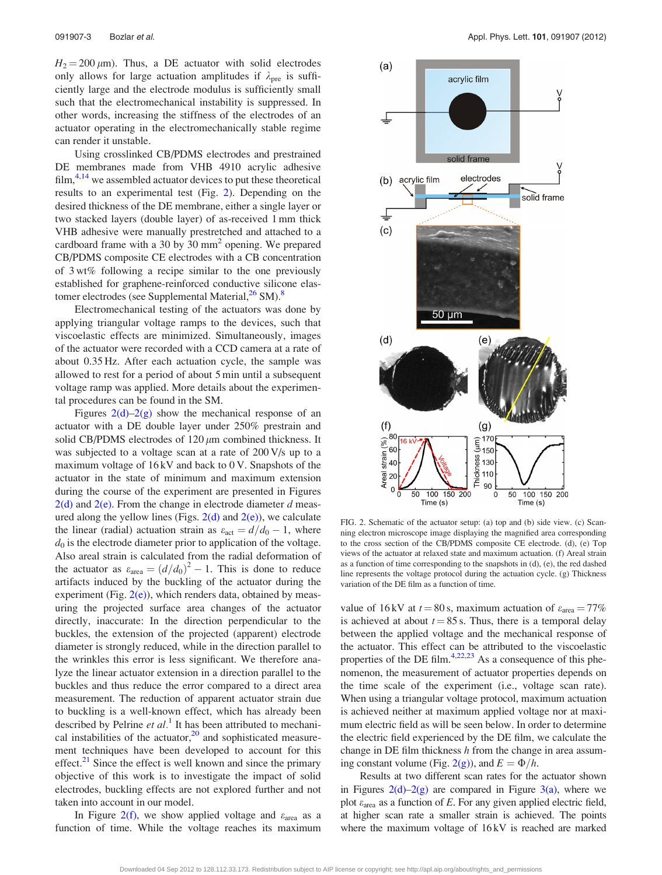<span id="page-3-0"></span> $H_2 = 200 \,\mu\text{m}$ . Thus, a DE actuator with solid electrodes only allows for large actuation amplitudes if  $\lambda_{pre}$  is sufficiently large and the electrode modulus is sufficiently small such that the electromechanical instability is suppressed. In other words, increasing the stiffness of the electrodes of an actuator operating in the electromechanically stable regime can render it unstable.

Using crosslinked CB/PDMS electrodes and prestrained DE membranes made from VHB 4910 acrylic adhesive film, $4,14$  we assembled actuator devices to put these theoretical results to an experimental test (Fig. 2). Depending on the desired thickness of the DE membrane, either a single layer or two stacked layers (double layer) of as-received 1 mm thick VHB adhesive were manually prestretched and attached to a cardboard frame with a 30 by 30  $\text{mm}^2$  opening. We prepared CB/PDMS composite CE electrodes with a CB concentration of 3 wt% following a recipe similar to the one previously established for graphene-reinforced conductive silicone elas-tomer electrodes (see Supplemental Material,<sup>26</sup> SM).<sup>[8](#page-5-0)</sup>

Electromechanical testing of the actuators was done by applying triangular voltage ramps to the devices, such that viscoelastic effects are minimized. Simultaneously, images of the actuator were recorded with a CCD camera at a rate of about 0.35 Hz. After each actuation cycle, the sample was allowed to rest for a period of about 5 min until a subsequent voltage ramp was applied. More details about the experimental procedures can be found in the SM.

Figures  $2(d)-2(g)$  show the mechanical response of an actuator with a DE double layer under 250% prestrain and solid CB/PDMS electrodes of  $120 \mu m$  combined thickness. It was subjected to a voltage scan at a rate of 200 V/s up to a maximum voltage of 16 kV and back to 0 V. Snapshots of the actuator in the state of minimum and maximum extension during the course of the experiment are presented in Figures  $2(d)$  and  $2(e)$ . From the change in electrode diameter d measured along the yellow lines (Figs.  $2(d)$  and  $2(e)$ ), we calculate the linear (radial) actuation strain as  $\varepsilon_{\text{act}} = d/d_0 - 1$ , where  $d_0$  is the electrode diameter prior to application of the voltage. Also areal strain is calculated from the radial deformation of the actuator as  $\varepsilon_{\text{area}} = (d/d_0)^2 - 1$ . This is done to reduce artifacts induced by the buckling of the actuator during the experiment (Fig.  $2(e)$ ), which renders data, obtained by measuring the projected surface area changes of the actuator directly, inaccurate: In the direction perpendicular to the buckles, the extension of the projected (apparent) electrode diameter is strongly reduced, while in the direction parallel to the wrinkles this error is less significant. We therefore analyze the linear actuator extension in a direction parallel to the buckles and thus reduce the error compared to a direct area measurement. The reduction of apparent actuator strain due to buckling is a well-known effect, which has already been described by Pelrine et  $al$ <sup>[1](#page-5-0)</sup>. It has been attributed to mechanical instabilities of the actuator, $20$  and sophisticated measurement techniques have been developed to account for this effect. $2<sup>1</sup>$  Since the effect is well known and since the primary objective of this work is to investigate the impact of solid electrodes, buckling effects are not explored further and not taken into account in our model.

In Figure 2(f), we show applied voltage and  $\varepsilon_{\text{area}}$  as a function of time. While the voltage reaches its maximum



FIG. 2. Schematic of the actuator setup: (a) top and (b) side view. (c) Scanning electron microscope image displaying the magnified area corresponding to the cross section of the CB/PDMS composite CE electrode. (d), (e) Top views of the actuator at relaxed state and maximum actuation. (f) Areal strain as a function of time corresponding to the snapshots in  $(d)$ ,  $(e)$ , the red dashed line represents the voltage protocol during the actuation cycle. (g) Thickness variation of the DE film as a function of time.

value of 16 kV at  $t = 80$  s, maximum actuation of  $\varepsilon_{\text{area}} = 77\%$ is achieved at about  $t = 85$  s. Thus, there is a temporal delay between the applied voltage and the mechanical response of the actuator. This effect can be attributed to the viscoelastic properties of the DE film. $4,22,23$  As a consequence of this phenomenon, the measurement of actuator properties depends on the time scale of the experiment (i.e., voltage scan rate). When using a triangular voltage protocol, maximum actuation is achieved neither at maximum applied voltage nor at maximum electric field as will be seen below. In order to determine the electric field experienced by the DE film, we calculate the change in DE film thickness  $h$  from the change in area assuming constant volume (Fig. 2(g)), and  $E = \Phi/h$ .

Results at two different scan rates for the actuator shown in Figures  $2(d)-2(g)$  are compared in Figure [3\(a\)](#page-4-0), where we plot  $\varepsilon_{\text{area}}$  as a function of E. For any given applied electric field, at higher scan rate a smaller strain is achieved. The points where the maximum voltage of 16 kV is reached are marked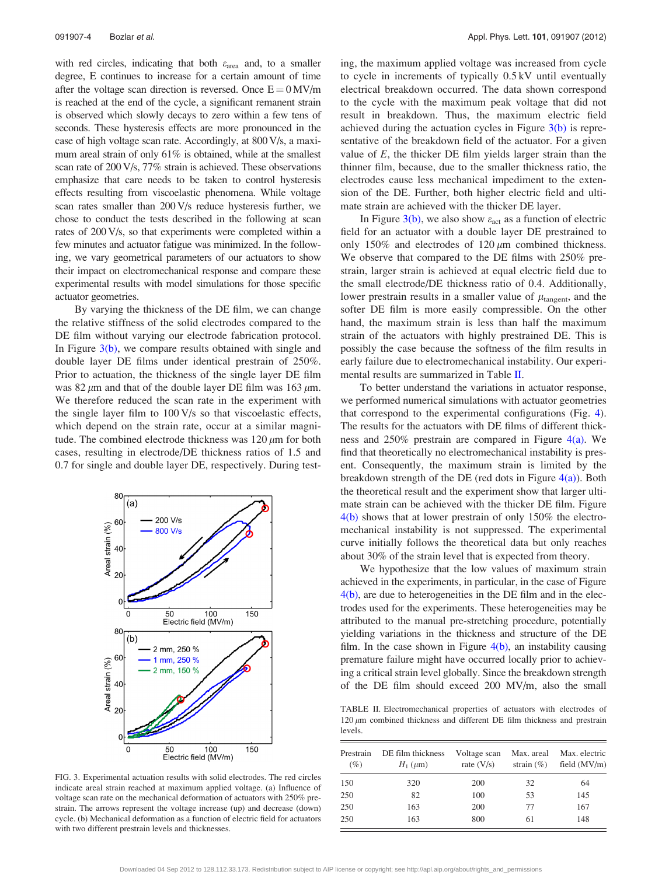<span id="page-4-0"></span>with red circles, indicating that both  $\varepsilon_{\text{area}}$  and, to a smaller degree, E continues to increase for a certain amount of time after the voltage scan direction is reversed. Once  $E = 0$  MV/m is reached at the end of the cycle, a significant remanent strain is observed which slowly decays to zero within a few tens of seconds. These hysteresis effects are more pronounced in the case of high voltage scan rate. Accordingly, at 800 V/s, a maximum areal strain of only 61% is obtained, while at the smallest scan rate of 200 V/s, 77% strain is achieved. These observations emphasize that care needs to be taken to control hysteresis effects resulting from viscoelastic phenomena. While voltage scan rates smaller than 200 V/s reduce hysteresis further, we chose to conduct the tests described in the following at scan rates of 200 V/s, so that experiments were completed within a few minutes and actuator fatigue was minimized. In the following, we vary geometrical parameters of our actuators to show their impact on electromechanical response and compare these experimental results with model simulations for those specific actuator geometries.

By varying the thickness of the DE film, we can change the relative stiffness of the solid electrodes compared to the DE film without varying our electrode fabrication protocol. In Figure  $3(b)$ , we compare results obtained with single and double layer DE films under identical prestrain of 250%. Prior to actuation, the thickness of the single layer DE film was 82  $\mu$ m and that of the double layer DE film was 163  $\mu$ m. We therefore reduced the scan rate in the experiment with the single layer film to 100 V/s so that viscoelastic effects, which depend on the strain rate, occur at a similar magnitude. The combined electrode thickness was  $120 \mu m$  for both cases, resulting in electrode/DE thickness ratios of 1.5 and 0.7 for single and double layer DE, respectively. During test-



FIG. 3. Experimental actuation results with solid electrodes. The red circles indicate areal strain reached at maximum applied voltage. (a) Influence of voltage scan rate on the mechanical deformation of actuators with 250% prestrain. The arrows represent the voltage increase (up) and decrease (down) cycle. (b) Mechanical deformation as a function of electric field for actuators with two different prestrain levels and thicknesses.

ing, the maximum applied voltage was increased from cycle to cycle in increments of typically 0.5 kV until eventually electrical breakdown occurred. The data shown correspond to the cycle with the maximum peak voltage that did not result in breakdown. Thus, the maximum electric field achieved during the actuation cycles in Figure 3(b) is representative of the breakdown field of the actuator. For a given value of  $E$ , the thicker DE film yields larger strain than the thinner film, because, due to the smaller thickness ratio, the electrodes cause less mechanical impediment to the extension of the DE. Further, both higher electric field and ultimate strain are achieved with the thicker DE layer.

In Figure 3(b), we also show  $\varepsilon_{\text{act}}$  as a function of electric field for an actuator with a double layer DE prestrained to only 150% and electrodes of  $120 \mu m$  combined thickness. We observe that compared to the DE films with 250% prestrain, larger strain is achieved at equal electric field due to the small electrode/DE thickness ratio of 0.4. Additionally, lower prestrain results in a smaller value of  $\mu_{\text{tangent}}$ , and the softer DE film is more easily compressible. On the other hand, the maximum strain is less than half the maximum strain of the actuators with highly prestrained DE. This is possibly the case because the softness of the film results in early failure due to electromechanical instability. Our experimental results are summarized in Table II.

To better understand the variations in actuator response, we performed numerical simulations with actuator geometries that correspond to the experimental configurations (Fig. [4](#page-5-0)). The results for the actuators with DE films of different thickness and  $250\%$  prestrain are compared in Figure  $4(a)$ . We find that theoretically no electromechanical instability is present. Consequently, the maximum strain is limited by the breakdown strength of the DE (red dots in Figure  $4(a)$ ). Both the theoretical result and the experiment show that larger ultimate strain can be achieved with the thicker DE film. Figure [4\(b\)](#page-5-0) shows that at lower prestrain of only 150% the electromechanical instability is not suppressed. The experimental curve initially follows the theoretical data but only reaches about 30% of the strain level that is expected from theory.

We hypothesize that the low values of maximum strain achieved in the experiments, in particular, in the case of Figure [4\(b\)](#page-5-0), are due to heterogeneities in the DE film and in the electrodes used for the experiments. These heterogeneities may be attributed to the manual pre-stretching procedure, potentially yielding variations in the thickness and structure of the DE film. In the case shown in Figure  $4(b)$ , an instability causing premature failure might have occurred locally prior to achieving a critical strain level globally. Since the breakdown strength of the DE film should exceed 200 MV/m, also the small

TABLE II. Electromechanical properties of actuators with electrodes of  $120 \mu m$  combined thickness and different DE film thickness and prestrain levels.

| Prestrain<br>(%) | DE film thickness<br>$H_1 \,(\mu \text{m})$ | Voltage scan<br>rate $(V/s)$ | Max. areal<br>strain $(\% )$ | Max. electric<br>field $(MV/m)$ |
|------------------|---------------------------------------------|------------------------------|------------------------------|---------------------------------|
| 150              | 320                                         | 200                          | 32                           | 64                              |
| 250              | 82                                          | 100                          | 53                           | 145                             |
| 250              | 163                                         | 200                          | 77                           | 167                             |
| 250              | 163                                         | 800                          | 61                           | 148                             |